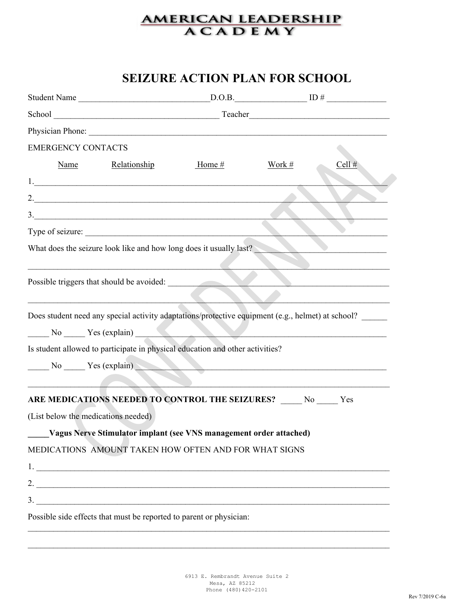## **SEIZURE ACTION PLAN FOR SCHOOL**

| <b>EMERGENCY CONTACTS</b><br>Name<br>Relationship<br>$\overline{\phantom{a}}$<br>Type of seizure: | Home $#$ | Work $#$ | $\frac{\text{D.O.B.}}{\text{D.O.B.}}$<br>Cell $#$ |
|---------------------------------------------------------------------------------------------------|----------|----------|---------------------------------------------------|
|                                                                                                   |          |          |                                                   |
|                                                                                                   |          |          |                                                   |
|                                                                                                   |          |          |                                                   |
|                                                                                                   |          |          |                                                   |
|                                                                                                   |          |          |                                                   |
|                                                                                                   |          |          |                                                   |
|                                                                                                   |          |          |                                                   |
|                                                                                                   |          |          |                                                   |
| What does the seizure look like and how long does it usually last?                                |          |          |                                                   |
|                                                                                                   |          |          |                                                   |
| Possible triggers that should be avoided:                                                         |          |          |                                                   |
|                                                                                                   |          |          |                                                   |
| Does student need any special activity adaptations/protective equipment (e.g., helmet) at school? |          |          |                                                   |
| No No Ness (explain)                                                                              |          |          |                                                   |
| Is student allowed to participate in physical education and other activities?                     |          |          |                                                   |
| No Ves (explain)                                                                                  |          |          |                                                   |
|                                                                                                   |          |          |                                                   |
| ARE MEDICATIONS NEEDED TO CONTROL THE SEIZURES? ____ No ____ Yes                                  |          |          |                                                   |
| (List below the medications needed)                                                               |          |          |                                                   |
| Vagus Nerve Stimulator implant (see VNS management order attached)                                |          |          |                                                   |
| MEDICATIONS AMOUNT TAKEN HOW OFTEN AND FOR WHAT SIGNS                                             |          |          |                                                   |
| $1.$ $\overline{\phantom{a}}$                                                                     |          |          |                                                   |
|                                                                                                   |          |          |                                                   |
|                                                                                                   |          |          |                                                   |
| Possible side effects that must be reported to parent or physician:                               |          |          |                                                   |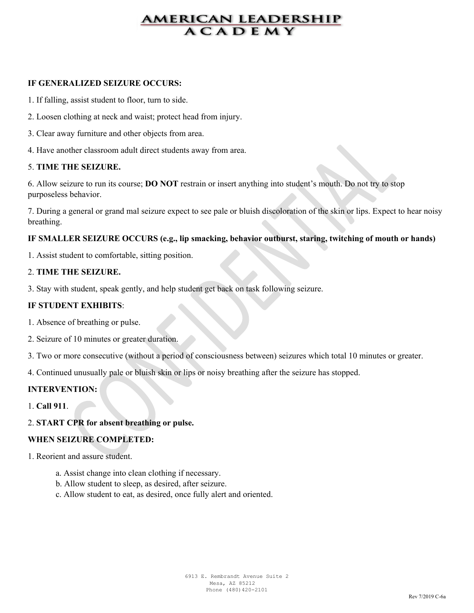#### **IF GENERALIZED SEIZURE OCCURS:**

- 1. If falling, assist student to floor, turn to side.
- 2. Loosen clothing at neck and waist; protect head from injury.
- 3. Clear away furniture and other objects from area.
- 4. Have another classroom adult direct students away from area.

#### 5. **TIME THE SEIZURE.**

6. Allow seizure to run its course; **DO NOT** restrain or insert anything into student's mouth. Do not try to stop purposeless behavior.

7. During a general or grand mal seizure expect to see pale or bluish discoloration of the skin or lips. Expect to hear noisy breathing.

#### **IF SMALLER SEIZURE OCCURS (e.g., lip smacking, behavior outburst, staring, twitching of mouth or hands)**

1. Assist student to comfortable, sitting position.

#### 2. **TIME THE SEIZURE.**

3. Stay with student, speak gently, and help student get back on task following seizure.

#### **IF STUDENT EXHIBITS**:

- 1. Absence of breathing or pulse.
- 2. Seizure of 10 minutes or greater duration.

3. Two or more consecutive (without a period of consciousness between) seizures which total 10 minutes or greater.

4. Continued unusually pale or bluish skin or lips or noisy breathing after the seizure has stopped.

#### **INTERVENTION:**

1. **Call 911**.

#### 2. **START CPR for absent breathing or pulse.**

#### **WHEN SEIZURE COMPLETED:**

1. Reorient and assure student.

- a. Assist change into clean clothing if necessary.
- b. Allow student to sleep, as desired, after seizure.
- c. Allow student to eat, as desired, once fully alert and oriented.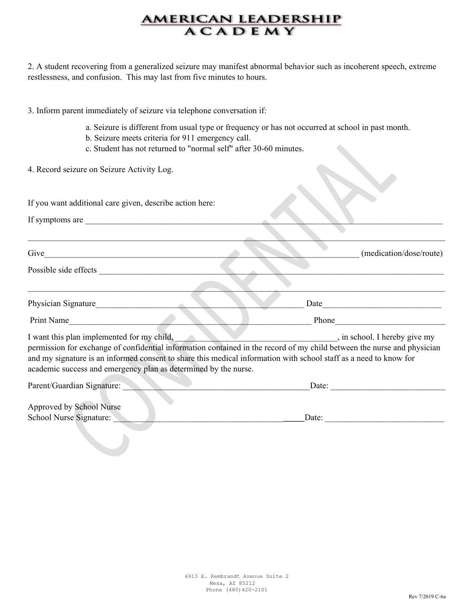2. A student recovering from a generalized seizure may manifest abnormal behavior such as incoherent speech, extreme restlessness, and confusion. This may last from five minutes to hours.

|                                                     | 3. Inform parent immediately of seizure via telephone conversation if:                                                 |                                                                                                                                                                                                                                                                                                                                                                                                                                                                                |
|-----------------------------------------------------|------------------------------------------------------------------------------------------------------------------------|--------------------------------------------------------------------------------------------------------------------------------------------------------------------------------------------------------------------------------------------------------------------------------------------------------------------------------------------------------------------------------------------------------------------------------------------------------------------------------|
|                                                     | b. Seizure meets criteria for 911 emergency call.<br>c. Student has not returned to "normal self" after 30-60 minutes. | a. Seizure is different from usual type or frequency or has not occurred at school in past month.                                                                                                                                                                                                                                                                                                                                                                              |
|                                                     | 4. Record seizure on Seizure Activity Log.                                                                             |                                                                                                                                                                                                                                                                                                                                                                                                                                                                                |
|                                                     | If you want additional care given, describe action here:                                                               |                                                                                                                                                                                                                                                                                                                                                                                                                                                                                |
|                                                     | If symptoms are                                                                                                        |                                                                                                                                                                                                                                                                                                                                                                                                                                                                                |
|                                                     |                                                                                                                        |                                                                                                                                                                                                                                                                                                                                                                                                                                                                                |
|                                                     |                                                                                                                        | (medication/dose/route)                                                                                                                                                                                                                                                                                                                                                                                                                                                        |
|                                                     |                                                                                                                        |                                                                                                                                                                                                                                                                                                                                                                                                                                                                                |
|                                                     | Physician Signature                                                                                                    |                                                                                                                                                                                                                                                                                                                                                                                                                                                                                |
|                                                     | Print Name                                                                                                             |                                                                                                                                                                                                                                                                                                                                                                                                                                                                                |
|                                                     | academic success and emergency plan as determined by the nurse.                                                        | I want this plan implemented for my child, see the state of the state of the state of the state of the state of the state of the state of the state of the state of the state of the state of the state of the state of the st<br>permission for exchange of confidential information contained in the record of my child between the nurse and physician<br>and my signature is an informed consent to share this medical information with school staff as a need to know for |
| Parent/Guardian Signature:                          |                                                                                                                        | Date:                                                                                                                                                                                                                                                                                                                                                                                                                                                                          |
| Approved by School Nurse<br>School Nurse Signature: |                                                                                                                        | Date:                                                                                                                                                                                                                                                                                                                                                                                                                                                                          |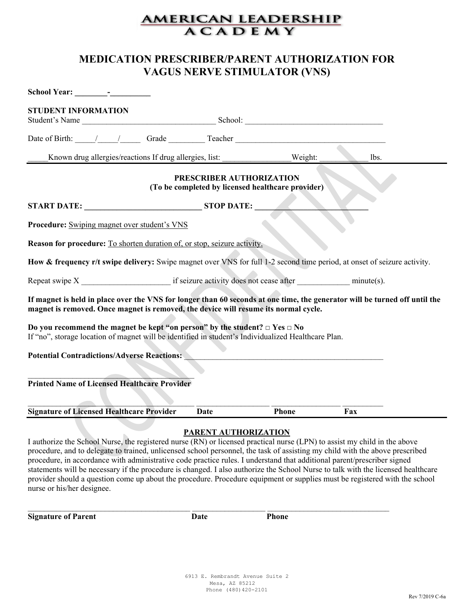### **MEDICATION PRESCRIBER/PARENT AUTHORIZATION FOR VAGUS NERVE STIMULATOR (VNS)**

| <b>STUDENT INFORMATION</b>                                                                                                                                                                                        |                          |                                                   |      |  |
|-------------------------------------------------------------------------------------------------------------------------------------------------------------------------------------------------------------------|--------------------------|---------------------------------------------------|------|--|
| Date of Birth: //// Grade Teacher                                                                                                                                                                                 |                          |                                                   |      |  |
| Known drug allergies/reactions If drug allergies, list:                                                                                                                                                           |                          | Weight:                                           | lbs. |  |
|                                                                                                                                                                                                                   | PRESCRIBER AUTHORIZATION | (To be completed by licensed healthcare provider) |      |  |
| START DATE: STOP DATE:                                                                                                                                                                                            |                          |                                                   |      |  |
| Procedure: Swiping magnet over student's VNS                                                                                                                                                                      |                          |                                                   |      |  |
| <b>Reason for procedure:</b> To shorten duration of, or stop, seizure activity.                                                                                                                                   |                          |                                                   |      |  |
| How & frequency r/t swipe delivery: Swipe magnet over VNS for full 1-2 second time period, at onset of seizure activity.                                                                                          |                          |                                                   |      |  |
|                                                                                                                                                                                                                   |                          |                                                   |      |  |
| If magnet is held in place over the VNS for longer than 60 seconds at one time, the generator will be turned off until the<br>magnet is removed. Once magnet is removed, the device will resume its normal cycle. |                          |                                                   |      |  |
| Do you recommend the magnet be kept "on person" by the student? $\Box$ Yes $\Box$ No<br>If "no", storage location of magnet will be identified in student's Individualized Healthcare Plan.                       |                          |                                                   |      |  |
| <b>Potential Contradictions/Adverse Reactions:</b>                                                                                                                                                                |                          |                                                   |      |  |
|                                                                                                                                                                                                                   |                          |                                                   |      |  |
| <b>Printed Name of Licensed Healthcare Provider</b>                                                                                                                                                               |                          |                                                   |      |  |
| <b>Signature of Licensed Healthcare Provider</b>                                                                                                                                                                  | <b>Date</b>              | <b>Phone</b>                                      | Fax  |  |
| $\mathbb{R}$                                                                                                                                                                                                      | PARENT AUTHORIZATION     |                                                   |      |  |

I authorize the School Nurse, the registered nurse (RN) or licensed practical nurse (LPN) to assist my child in the above procedure, and to delegate to trained, unlicensed school personnel, the task of assisting my child with the above prescribed procedure, in accordance with administrative code practice rules. I understand that additional parent/prescriber signed statements will be necessary if the procedure is changed. I also authorize the School Nurse to talk with the licensed healthcare provider should a question come up about the procedure. Procedure equipment or supplies must be registered with the school nurse or his/her designee.

**Signature of Parent Date** Phone

 $\_$  ,  $\_$  ,  $\_$  ,  $\_$  ,  $\_$  ,  $\_$  ,  $\_$  ,  $\_$  ,  $\_$  ,  $\_$  ,  $\_$  ,  $\_$  ,  $\_$  ,  $\_$  ,  $\_$  ,  $\_$  ,  $\_$  ,  $\_$  ,  $\_$  ,  $\_$  ,  $\_$  ,  $\_$  ,  $\_$  ,  $\_$  ,  $\_$  ,  $\_$  ,  $\_$  ,  $\_$  ,  $\_$  ,  $\_$  ,  $\_$  ,  $\_$  ,  $\_$  ,  $\_$  ,  $\_$  ,  $\_$  ,  $\_$  ,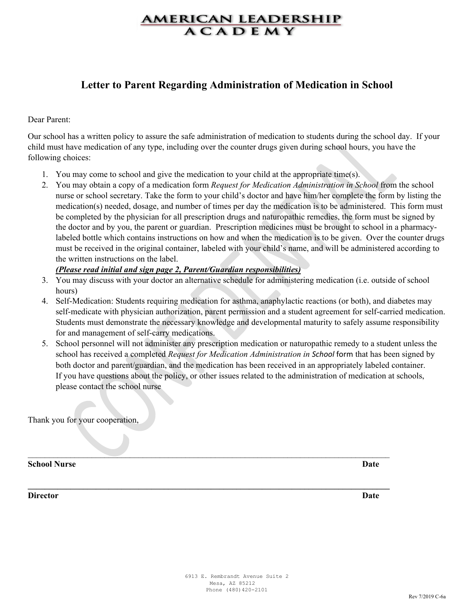### **Letter to Parent Regarding Administration of Medication in School**

#### Dear Parent:

Our school has a written policy to assure the safe administration of medication to students during the school day. If your child must have medication of any type, including over the counter drugs given during school hours, you have the following choices:

- 1. You may come to school and give the medication to your child at the appropriate time(s).
- 2. You may obtain a copy of a medication form *Request for Medication Administration in School* from the school nurse or school secretary. Take the form to your child's doctor and have him/her complete the form by listing the medication(s) needed, dosage, and number of times per day the medication is to be administered. This form must be completed by the physician for all prescription drugs and naturopathic remedies, the form must be signed by the doctor and by you, the parent or guardian. Prescription medicines must be brought to school in a pharmacylabeled bottle which contains instructions on how and when the medication is to be given. Over the counter drugs must be received in the original container, labeled with your child's name, and will be administered according to the written instructions on the label.

#### *(Please read initial and sign page 2, Parent/Guardian responsibilities)*

- 3. You may discuss with your doctor an alternative schedule for administering medication (i.e. outside of school hours)
- 4. Self-Medication: Students requiring medication for asthma, anaphylactic reactions (or both), and diabetes may self-medicate with physician authorization, parent permission and a student agreement for self-carried medication. Students must demonstrate the necessary knowledge and developmental maturity to safely assume responsibility for and management of self-carry medications.
- 5. School personnel will not administer any prescription medication or naturopathic remedy to a student unless the school has received a completed *Request for Medication Administration in School* form that has been signed by both doctor and parent/guardian, and the medication has been received in an appropriately labeled container. If you have questions about the policy, or other issues related to the administration of medication at schools, please contact the school nurse

\_\_\_\_\_\_\_\_\_\_\_\_\_\_\_\_\_\_\_\_\_\_\_\_\_\_\_\_\_\_\_\_\_\_\_\_\_\_\_\_\_\_\_\_\_\_\_\_\_\_\_\_\_\_\_\_\_\_\_\_\_\_\_\_\_\_\_\_\_\_\_\_\_\_\_\_\_\_\_\_\_\_\_\_\_

**\_\_\_\_\_\_\_\_\_\_\_\_\_\_\_\_\_\_\_\_\_\_\_\_\_\_\_\_\_\_\_\_\_\_\_\_\_\_\_\_\_\_\_\_\_\_\_\_\_\_\_\_\_\_\_\_\_\_\_\_\_\_\_\_\_\_\_\_\_\_\_\_\_\_\_\_\_\_\_\_\_\_\_\_\_**

Thank you for your cooperation,

**School Nurse Date**

**Director Date**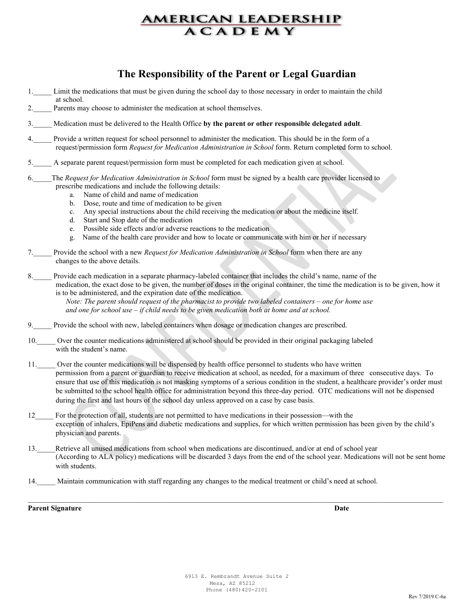## **The Responsibility of the Parent or Legal Guardian**

- 1. Limit the medications that must be given during the school day to those necessary in order to maintain the child at school.
- 2. Parents may choose to administer the medication at school themselves.
- 3.\_\_\_\_\_ Medication must be delivered to the Health Office **by the parent or other responsible delegated adult**.
- Provide a written request for school personnel to administer the medication. This should be in the form of a request/permission form *Request for Medication Administration in School* form. Return completed form to school.
- 5.\_\_\_\_\_ A separate parent request/permission form must be completed for each medication given at school.
- 6.\_\_\_\_\_The *Request for Medication Administration in School* form must be signed by a health care provider licensed to prescribe medications and include the following details:
	- a. Name of child and name of medication
	- b. Dose, route and time of medication to be given
	- c. Any special instructions about the child receiving the medication or about the medicine itself.
	- d. Start and Stop date of the medication
	- e. Possible side effects and/or adverse reactions to the medication
	- g. Name of the health care provider and how to locate or communicate with him or her if necessary
- 7.\_\_\_\_\_ Provide the school with a new *Request for Medication Administration in School* form when there are any changes to the above details.
- 8.\_\_\_\_\_ Provide each medication in a separate pharmacy-labeled container that includes the child's name, name of the medication, the exact dose to be given, the number of doses in the original container, the time the medication is to be given, how it is to be administered, and the expiration date of the medication.

 *Note: The parent should request of the pharmacist to provide two labeled containers – one for home use and one for school use – if child needs to be given medication both at home and at school.*

- 9. Provide the school with new, labeled containers when dosage or medication changes are prescribed.
- 10. Over the counter medications administered at school should be provided in their original packaging labeled with the student's name.
- 11. Over the counter medications will be dispensed by health office personnel to students who have written permission from a parent or guardian to receive medication at school, as needed, for a maximum of three consecutive days. To ensure that use of this medication is not masking symptoms of a serious condition in the student, a healthcare provider's order must be submitted to the school health office for administration beyond this three-day period. OTC medications will not be dispensed during the first and last hours of the school day unless approved on a case by case basis.
- 12 For the protection of all, students are not permitted to have medications in their possession—with the exception of inhalers, EpiPens and diabetic medications and supplies, for which written permission has been given by the child's physician and parents.
- 13. Retrieve all unused medications from school when medications are discontinued, and/or at end of school year (According to ALA policy) medications will be discarded 3 days from the end of the school year. Medications will not be sent home with students.

\_\_\_\_\_\_\_\_\_\_\_\_\_\_\_\_\_\_\_\_\_\_\_\_\_\_\_\_\_\_\_\_\_\_\_\_\_\_\_\_\_\_\_\_\_\_\_\_\_\_\_\_\_\_\_\_\_\_\_\_\_\_\_\_\_\_\_\_\_\_\_\_\_\_\_\_\_\_\_\_\_\_\_\_\_\_\_\_\_\_\_\_\_\_\_\_\_\_\_\_\_\_\_\_\_\_\_\_\_\_\_\_\_

14. Maintain communication with staff regarding any changes to the medical treatment or child's need at school.

**Parent Signature Date**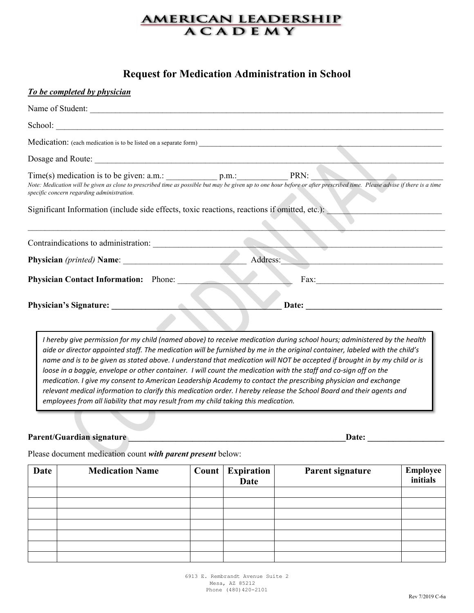### **Request for Medication Administration in School**

| To be completed by physician                                                                                                               |                                                                                                                                                                                                                                |
|--------------------------------------------------------------------------------------------------------------------------------------------|--------------------------------------------------------------------------------------------------------------------------------------------------------------------------------------------------------------------------------|
|                                                                                                                                            |                                                                                                                                                                                                                                |
|                                                                                                                                            |                                                                                                                                                                                                                                |
|                                                                                                                                            |                                                                                                                                                                                                                                |
|                                                                                                                                            |                                                                                                                                                                                                                                |
| specific concern regarding administration.<br>Significant Information (include side effects, toxic reactions, reactions if omitted, etc.): | Note: Medication will be given as close to prescribed time as possible but may be given up to one hour before or after prescribed time. Please advise if there is a time                                                       |
|                                                                                                                                            |                                                                                                                                                                                                                                |
|                                                                                                                                            | Address:                                                                                                                                                                                                                       |
| <b>Physician Contact Information:</b> Phone:                                                                                               |                                                                                                                                                                                                                                |
| Physician's Signature:                                                                                                                     | Date: the contract of the contract of the contract of the contract of the contract of the contract of the contract of the contract of the contract of the contract of the contract of the contract of the contract of the cont |
|                                                                                                                                            | I haraby give permission for my child (named above) to reseive medication during school hours; administered by the health                                                                                                      |

*I hereby give permission for my child (named above) to receive medication during school hours; administered by the health aide or director appointed staff. The medication will be furnished by me in the original container, labeled with the child's name and is to be given as stated above. I understand that medication will NOT be accepted if brought in by my child or is loose in a baggie, envelope or other container. I will count the medication with the staff and co-sign off on the medication. I give my consent to American Leadership Academy to contact the prescribing physician and exchange relevant medical information to clarify this medication order. I hereby release the School Board and their agents and employees from all liability that may result from my child taking this medication.*

#### Parent/Guardian signature **Letter and Secure 2018** and 2018 and 2018 and 2018 and 2018 and 2018 and 2018 and 201

Please document medication count *with parent present* below:

| Date | <b>Medication Name</b> | <b>Count</b> Expiration<br>Date | Parent signature | <b>Employee</b><br>initials |
|------|------------------------|---------------------------------|------------------|-----------------------------|
|      |                        |                                 |                  |                             |
|      |                        |                                 |                  |                             |
|      |                        |                                 |                  |                             |
|      |                        |                                 |                  |                             |
|      |                        |                                 |                  |                             |
|      |                        |                                 |                  |                             |
|      |                        |                                 |                  |                             |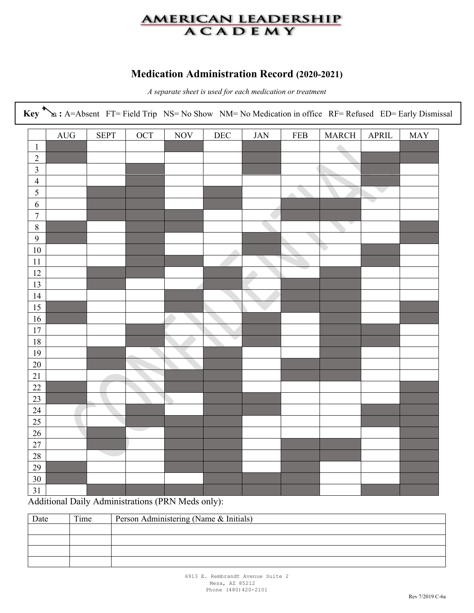## **Medication Administration Record (2020-2021)**

*A separate sheet is used for each medication or treatment*

|                | Key $\sum_{\mathcal{B}}$ : A=Absent FT= Field Trip NS= No Show NM= No Medication in office RF= Refused ED= Early Dismissal |             |     |            |     |            |            |                          |                |            |
|----------------|----------------------------------------------------------------------------------------------------------------------------|-------------|-----|------------|-----|------------|------------|--------------------------|----------------|------------|
|                | <b>AUG</b>                                                                                                                 | <b>SEPT</b> | OCT | <b>NOV</b> | DEC | <b>JAN</b> | <b>FEB</b> | <b>MARCH</b>             | $\mbox{APRIL}$ | <b>MAY</b> |
| $\mathbf{1}$   |                                                                                                                            |             |     |            |     |            |            | $\bigcirc$               |                |            |
| $\overline{2}$ |                                                                                                                            |             |     |            |     |            |            |                          |                |            |
| $\overline{3}$ |                                                                                                                            |             |     |            |     |            |            |                          |                |            |
| $\overline{4}$ |                                                                                                                            |             |     |            |     |            |            |                          |                |            |
| 5              |                                                                                                                            |             |     |            |     |            |            |                          |                |            |
| 6              |                                                                                                                            |             |     |            |     |            |            |                          | e e            |            |
| $\overline{7}$ |                                                                                                                            |             |     |            |     |            |            |                          |                |            |
| $8\,$          |                                                                                                                            |             |     |            |     |            |            |                          |                |            |
| 9              |                                                                                                                            |             |     |            |     |            |            |                          |                |            |
| $10\,$         |                                                                                                                            |             |     |            |     |            |            | $\overline{\phantom{0}}$ |                |            |
| 11             |                                                                                                                            |             |     |            |     |            |            |                          |                |            |
| 12             |                                                                                                                            |             |     |            |     |            |            |                          |                |            |
| 13             |                                                                                                                            |             |     |            |     |            |            |                          |                |            |
| 14             |                                                                                                                            |             |     |            |     |            |            |                          |                |            |
| 15             |                                                                                                                            |             |     |            |     |            |            |                          |                |            |
| 16             |                                                                                                                            |             |     |            |     |            |            |                          |                |            |
| 17             |                                                                                                                            |             |     |            | c.  |            |            |                          |                |            |
| $18\,$         |                                                                                                                            |             |     |            |     |            |            |                          |                |            |
| 19             |                                                                                                                            |             |     |            |     |            |            |                          |                |            |
| $20\,$         |                                                                                                                            |             |     |            |     |            |            |                          |                |            |
| 21<br>22       |                                                                                                                            |             |     |            |     |            |            |                          |                |            |
| 23             |                                                                                                                            |             |     |            |     |            |            |                          |                |            |
| 24             |                                                                                                                            |             |     |            |     |            |            |                          |                |            |
| 25             |                                                                                                                            |             |     |            |     |            |            |                          |                |            |
| $26\,$         |                                                                                                                            |             |     |            |     |            |            |                          |                |            |
| $27\,$         |                                                                                                                            |             |     |            |     |            |            |                          |                |            |
| 28             |                                                                                                                            |             |     |            |     |            |            |                          |                |            |
|                |                                                                                                                            |             |     |            |     |            |            |                          |                |            |
|                |                                                                                                                            |             |     |            |     |            |            |                          |                |            |
| 29<br>30       |                                                                                                                            |             |     |            |     |            |            |                          |                |            |

Additional Daily Administrations (PRN Meds only):

| Date | Time | Person Administering (Name & Initials) |
|------|------|----------------------------------------|
|      |      |                                        |
|      |      |                                        |
|      |      |                                        |
|      |      |                                        |